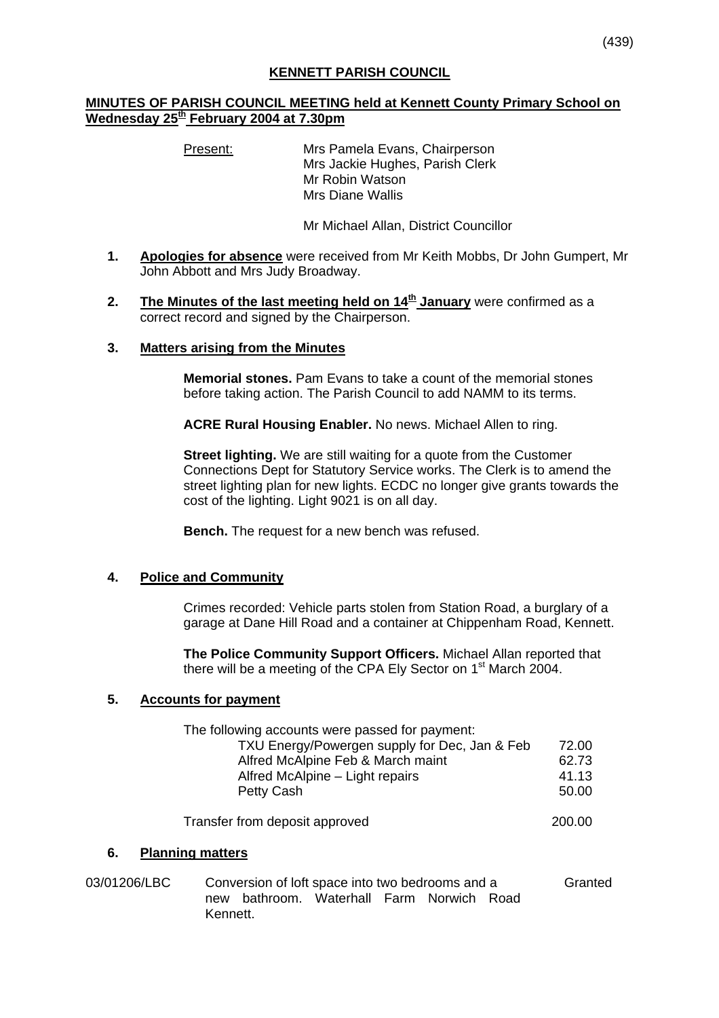## **KENNETT PARISH COUNCIL**

## **MINUTES OF PARISH COUNCIL MEETING held at Kennett County Primary School on Wednesday 25th February 2004 at 7.30pm**

Present: Mrs Pamela Evans, Chairperson Mrs Jackie Hughes, Parish Clerk Mr Robin Watson Mrs Diane Wallis

Mr Michael Allan, District Councillor

- **1. Apologies for absence** were received from Mr Keith Mobbs, Dr John Gumpert, Mr John Abbott and Mrs Judy Broadway.
- **2.** The Minutes of the last meeting held on 14<sup>th</sup> January were confirmed as a correct record and signed by the Chairperson.
- **3. Matters arising from the Minutes**

**Memorial stones.** Pam Evans to take a count of the memorial stones before taking action. The Parish Council to add NAMM to its terms.

**ACRE Rural Housing Enabler.** No news. Michael Allen to ring.

**Street lighting.** We are still waiting for a quote from the Customer Connections Dept for Statutory Service works. The Clerk is to amend the street lighting plan for new lights. ECDC no longer give grants towards the cost of the lighting. Light 9021 is on all day.

**Bench.** The request for a new bench was refused.

## **4. Police and Community**

Crimes recorded: Vehicle parts stolen from Station Road, a burglary of a garage at Dane Hill Road and a container at Chippenham Road, Kennett.

**The Police Community Support Officers.** Michael Allan reported that there will be a meeting of the CPA Ely Sector on 1<sup>st</sup> March 2004.

## **5. Accounts for payment**

| The following accounts were passed for payment: |       |
|-------------------------------------------------|-------|
| TXU Energy/Powergen supply for Dec, Jan & Feb   | 72.00 |
| Alfred McAlpine Feb & March maint               | 62.73 |
| Alfred McAlpine - Light repairs                 | 41.13 |
| Petty Cash                                      | 50.00 |
| Transfer from deposit approved                  |       |
| <b>Planning matters</b><br>6.                   |       |

03/01206/LBC Conversion of loft space into two bedrooms and a Granted new bathroom. Waterhall Farm Norwich Road Kennett.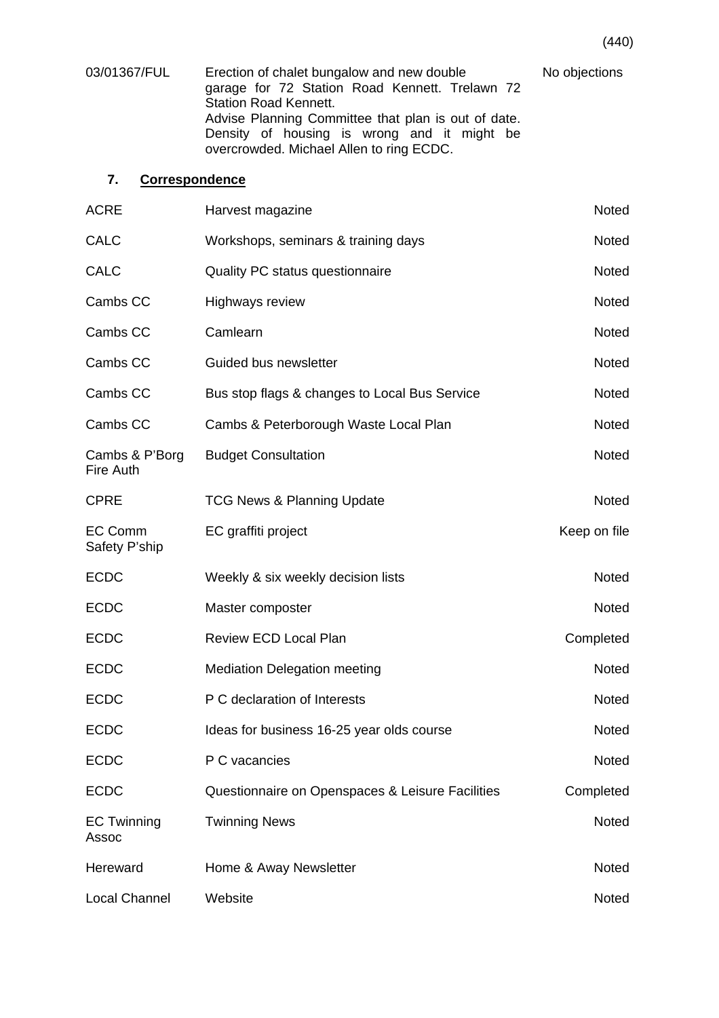| 03/01367/FUL | Erection of chalet bungalow and new double<br>garage for 72 Station Road Kennett. Trelawn 72<br><b>Station Road Kennett.</b>                   | No objections |
|--------------|------------------------------------------------------------------------------------------------------------------------------------------------|---------------|
|              | Advise Planning Committee that plan is out of date.<br>Density of housing is wrong and it might be<br>overcrowded. Michael Allen to ring ECDC. |               |

# **7. Correspondence**

| <b>ACRE</b>                        | Harvest magazine                                 | Noted        |
|------------------------------------|--------------------------------------------------|--------------|
| <b>CALC</b>                        | Workshops, seminars & training days              | Noted        |
| <b>CALC</b>                        | Quality PC status questionnaire                  | <b>Noted</b> |
| Cambs CC                           | <b>Highways review</b>                           | <b>Noted</b> |
| Cambs CC                           | Camlearn                                         | <b>Noted</b> |
| Cambs CC                           | Guided bus newsletter                            | Noted        |
| Cambs CC                           | Bus stop flags & changes to Local Bus Service    | <b>Noted</b> |
| Cambs CC                           | Cambs & Peterborough Waste Local Plan            | Noted        |
| Cambs & P'Borg<br><b>Fire Auth</b> | <b>Budget Consultation</b>                       | Noted        |
| <b>CPRE</b>                        | <b>TCG News &amp; Planning Update</b>            | <b>Noted</b> |
| <b>EC Comm</b><br>Safety P'ship    | EC graffiti project                              | Keep on file |
| <b>ECDC</b>                        | Weekly & six weekly decision lists               | <b>Noted</b> |
| <b>ECDC</b>                        | Master composter                                 | Noted        |
| <b>ECDC</b>                        | <b>Review ECD Local Plan</b>                     | Completed    |
| <b>ECDC</b>                        | <b>Mediation Delegation meeting</b>              | Noted        |
| <b>ECDC</b>                        | P C declaration of Interests                     | Noted        |
| <b>ECDC</b>                        | Ideas for business 16-25 year olds course        | Noted        |
| <b>ECDC</b>                        | P C vacancies                                    | Noted        |
| <b>ECDC</b>                        | Questionnaire on Openspaces & Leisure Facilities | Completed    |
| <b>EC Twinning</b><br>Assoc        | <b>Twinning News</b>                             | Noted        |
| Hereward                           | Home & Away Newsletter                           | Noted        |
| <b>Local Channel</b>               | Website                                          | Noted        |